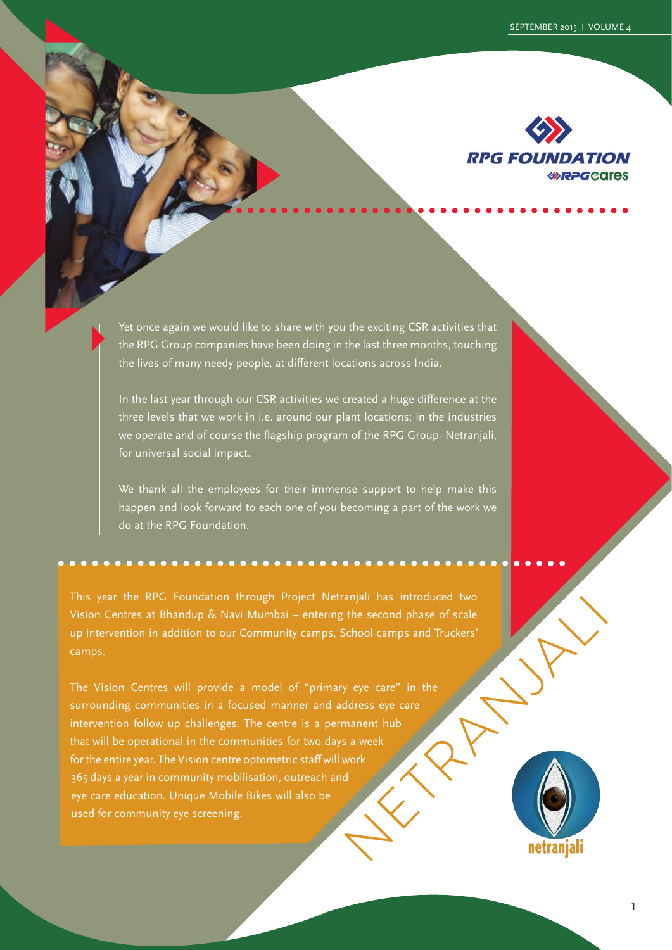

Yet once again we would like to share with you the exciting CSR activities that the RPG Group companies have been doing in the last three months, touching the lives of many needy people, at different locations across India.

In the last year through our CSR activities we created a huge difference at the three levels that we work in i.e. around our plant locations; in the industries we operate and of course the flagship program of the RPG Group- Netranjali, for universal social impact.

We thank all the employees for their immense support to help make this happen and look forward to each one of you becoming a part of the work we do at the RPG Foundation.

This year the RPG Foundation through Project Netranjali has introduced two Vision Centres at Bhandup & Navi Mumbai – entering the second phase of scale up intervention in addition to our Community camps, School camps and Truckers' camps.

Experiment and Truckers<br>
Very eye care" in the didress eye care<br>
Mannent hub<br>
sa week<br>
Nork<br>
Nork<br>
Nork<br>
Mannent hub<br>
Sa week<br>
Nork<br>
The discussed of Scale<br>
Row Mannent Aub The Vision Centres will provide a model of "primary eye care" in the surrounding communities in a focused manner and address eye care intervention follow up challenges. The centre is a permanent hub that will be operational in the communities for two days a week for the entire year. The Vision centre optometric staff will work 365 days a year in community mobilisation, outreach and eye care education. Unique Mobile Bikes will also be used for community eye screening.

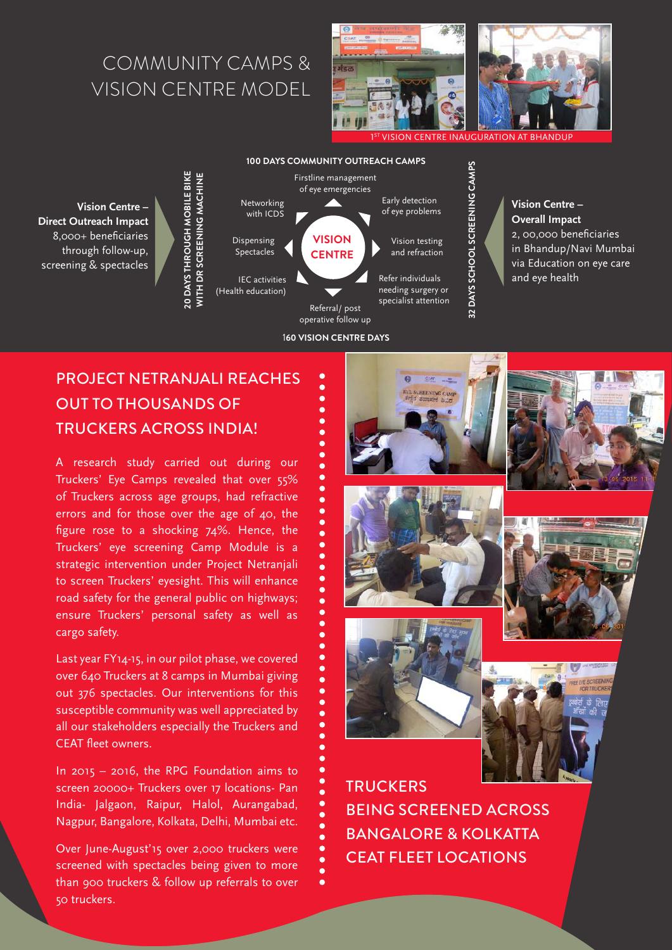## COMMUNITY CAMPS & VISION CENTRE MODEL



**VISION CENTRE INAUGURATION AT BHANDUP** 

**32 DAYS SCHOOL SCREENING CAMPS**

**Vision Centre – Direct Outreach Impact** 8,000+ beneficiaries through follow-up, screening & spectacles



#### 1**60 VISION CENTRE DAYS**

ē

#### **Vision Centre – Overall Impact** 2, 00,000 beneficiaries in Bhandup/Navi Mumbai via Education on eye care and eye health

## PROJECT NETRANJALI REACHES OUT TO THOUSANDS OF TRUCKERS ACROSS INDIA!

**20 DAYS THROUGH MOBILE BIKE** 

20 DAYS THROUGH MOBILE BIKE

A research study carried out during our Truckers' Eye Camps revealed that over 55% of Truckers across age groups, had refractive errors and for those over the age of 40, the figure rose to a shocking 74%. Hence, the Truckers' eye screening Camp Module is a strategic intervention under Project Netranjali to screen Truckers' eyesight. This will enhance road safety for the general public on highways; ensure Truckers' personal safety as well as cargo safety.

Last year FY14-15, in our pilot phase, we covered over 640 Truckers at 8 camps in Mumbai giving out 376 spectacles. Our interventions for this susceptible community was well appreciated by all our stakeholders especially the Truckers and CEAT fleet owners.

In 2015 – 2016, the RPG Foundation aims to screen 20000+ Truckers over 17 locations- Pan India- Jalgaon, Raipur, Halol, Aurangabad, Nagpur, Bangalore, Kolkata, Delhi, Mumbai etc.

Over June-August'15 over 2,000 truckers were screened with spectacles being given to more than 900 truckers & follow up referrals to over 50 truckers.











**TRUCKERS** BEING SCREENED ACROSS BANGALORE & KOLKATTA CEAT FLEET LOCATIONS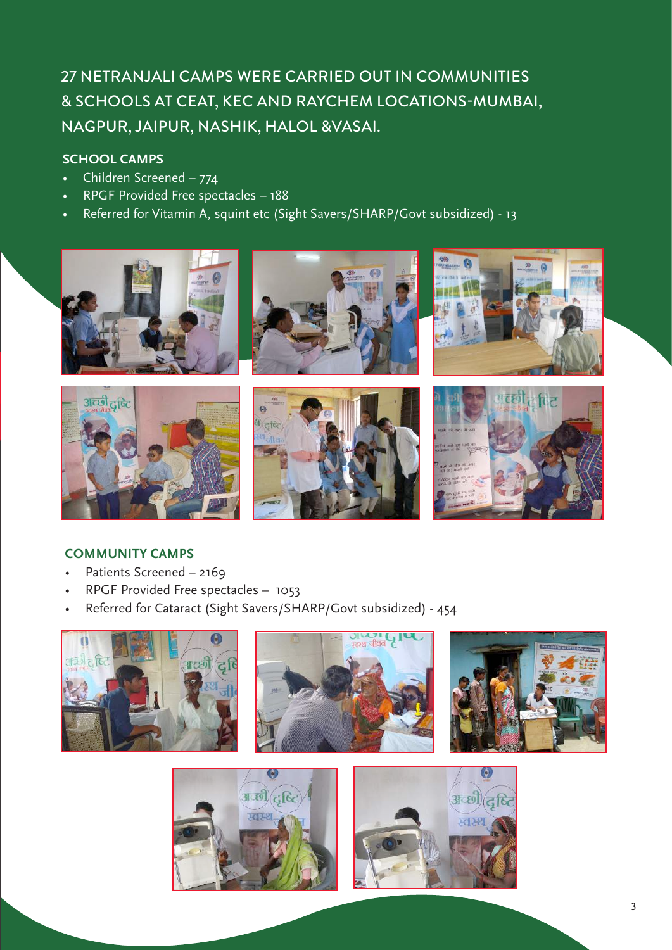## 27 NETRANJALI CAMPS WERE CARRIED OUT IN COMMUNITIES & SCHOOLS AT CEAT, KEC AND RAYCHEM LOCATIONS-MUMBAI, NAGPUR, JAIPUR, NASHIK, HALOL &VASAI.

### **SCHOOL CAMPS**

- Children Screened  $774$
- RPGF Provided Free spectacles 188
- Referred for Vitamin A, squint etc (Sight Savers/SHARP/Govt subsidized) 13



#### **COMMUNITY CAMPS**

- Patients Screened 2169
- RPGF Provided Free spectacles 1053
- Referred for Cataract (Sight Savers/SHARP/Govt subsidized) 454

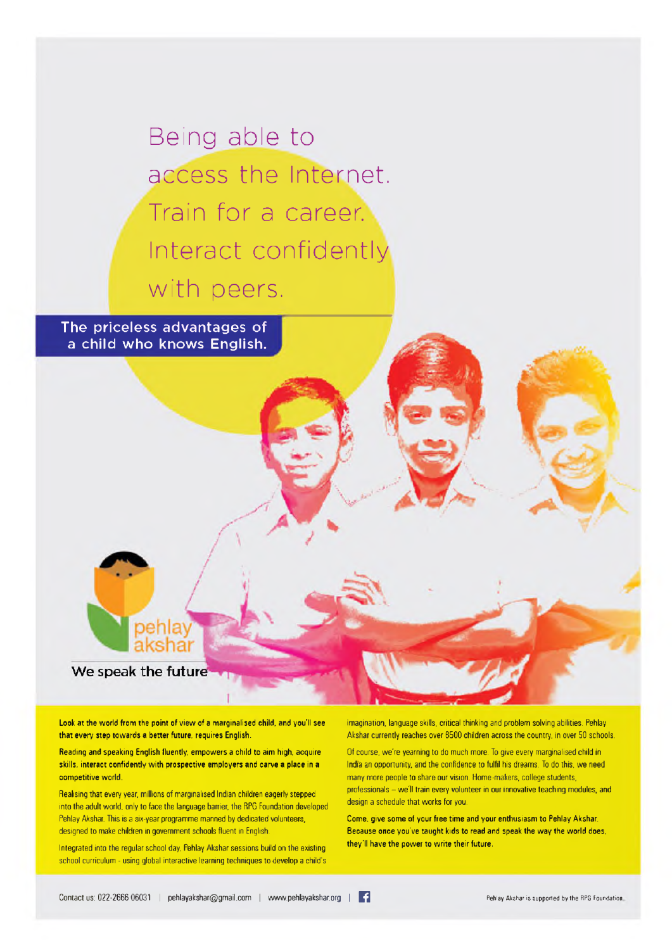Being able to access the Internet. Train for a career. Interact confidently with peers.

The priceless advantages of a child who knows English.

We speak the future

Look at the world from the point of view of a marginalised child, and you'll see that every step towards a better future, requires English.

Reading and speaking English fluently, empowers a child to aim high, acquire skills, interact confidently with prospective employers and carve a place in a competitive world.

Realising that every year, millions of marginalised Indian children eagerly stepped into the adult world, only to face the language barrier, the RPG Foundation developed Pehlay Akshar. This is a six-year programme manned by dedicated volunteers, designed to make children in government schools fluent in English

Integrated into the regular school day, Pehlay Akshar sessions build on the existing school curriculum - using global interactive learning techniques to develop a child's imagination, language skills, critical thinking and problem solving abilities. Pehlay Akshar currently reaches over 8500 children across the country, in over 50 schools.

Of course, we're yearning to do much more. To give every marginalised child in India an opportunity, and the confidence to fulfil his dreams. To do this, we need many more people to share our vision. Home-makers, college students, professionals - we'll train every volunteer in our innovative teaching modules, and design a schedule that works for you.

Come, give some of your free time and your enthusiasm to Pehlay Akshar. Because once you've taught kids to read and speak the way the world does, they'll have the power to write their future.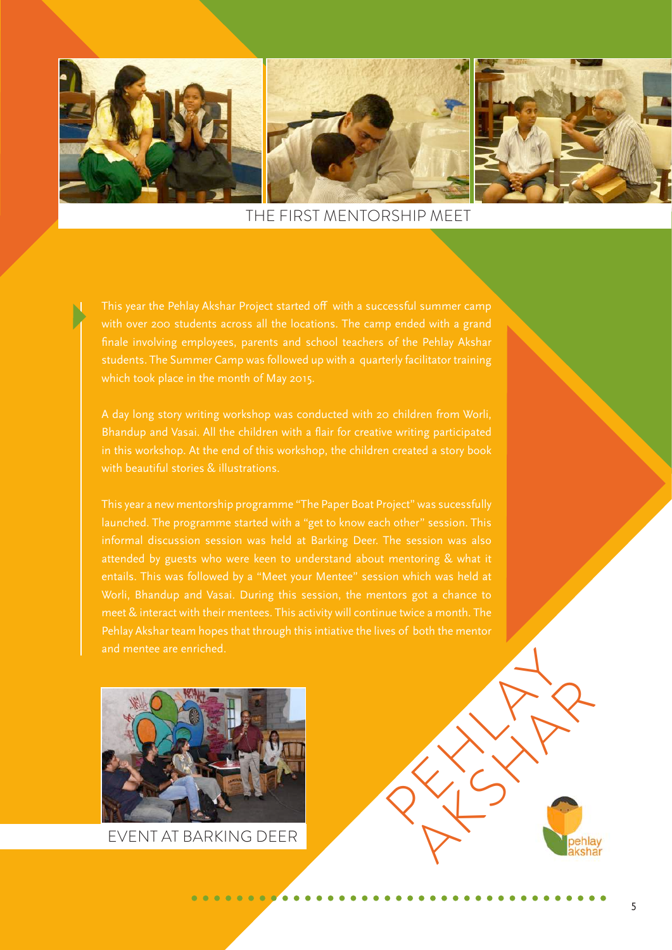

THE FIRST MENTORSHIP MEET

finale involving employees, parents and school teachers of the Pehlay Akshar

Bhandup and Vasai. All the children with a flair for creative writing participated with beautiful stories & illustrations.

This year a new mentorship programme "The Paper Boat Project" was sucessfully launched. The programme started with a "get to know each other" session. This Pehlay Akshar team hopes that through this intiative the lives of both the mentor

×



EVENT AT BARKING DEER

RANG PERSON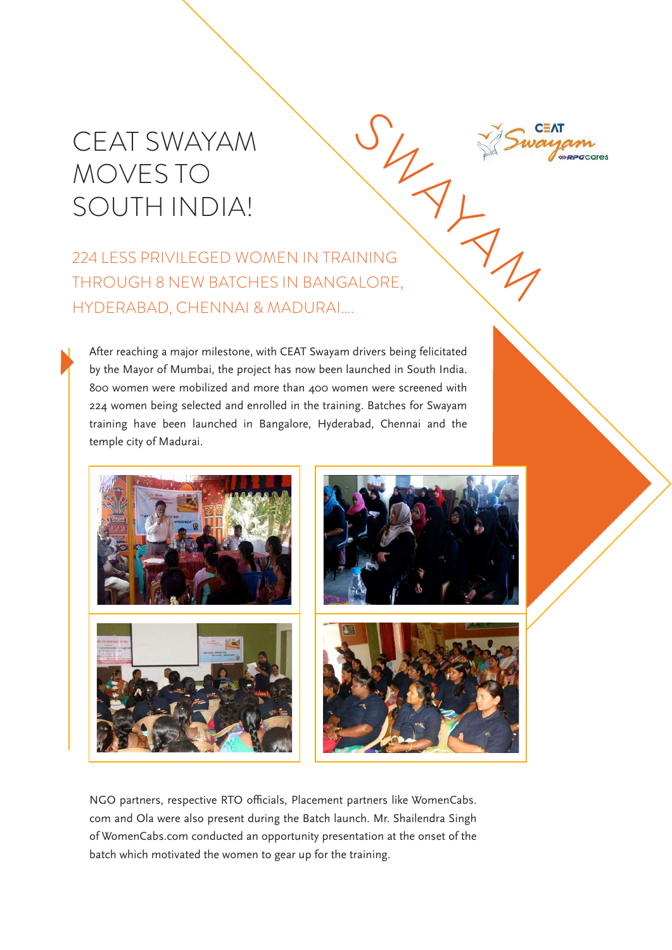# CEAT SWAYAM MOVES TO SOUTH INDIA!



After reaching a major milestone, with CEAT Swayam drivers being felicitated by the Mayor of Mumbai, the project has now been launched in South India. 800 women were mobilized and more than 400 women were screened with 224 women being selected and enrolled in the training. Batches for Swayam training have been launched in Bangalore, Hyderabad, Chennai and the temple city of Madurai.







NGO partners, respective RTO officials, Placement partners like WomenCabs. com and Ola were also present during the Batch launch. Mr. Shailendra Singh of WomenCabs.com conducted an opportunity presentation at the onset of the batch which motivated the women to gear up for the training.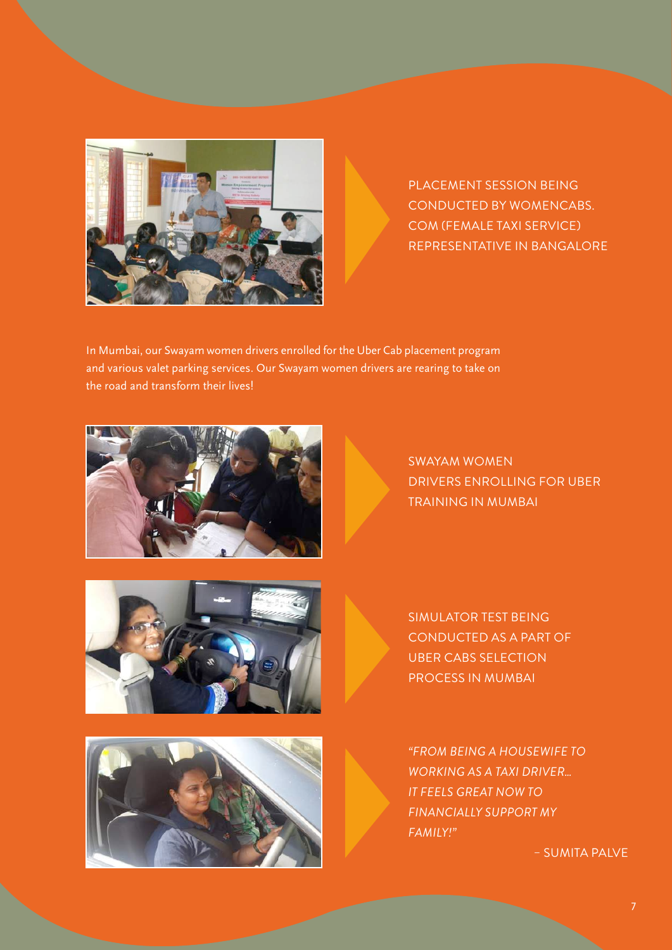

PLACEMENT SESSION BEING CONDUCTED BY WOMENCABS. COM (FEMALE TAXI SERVICE) REPRESENTATIVE IN BANGALORE

In Mumbai, our Swayam women drivers enrolled for the Uber Cab placement program and various valet parking services. Our Swayam women drivers are rearing to take on the road and transform their lives!



SWAYAM WOMEN DRIVERS ENROLLING FOR UBER TRAINING IN MUMBAI



SIMULATOR TEST BEING CONDUCTED AS A PART OF UBER CABS SELECTION PROCESS IN MUMBAI



*"FROM BEING A HOUSEWIFE TO WORKING AS A TAXI DRIVER… IT FEELS GREAT NOW TO FINANCIALLY SUPPORT MY FAMILY!"*

– SUMITA PALVE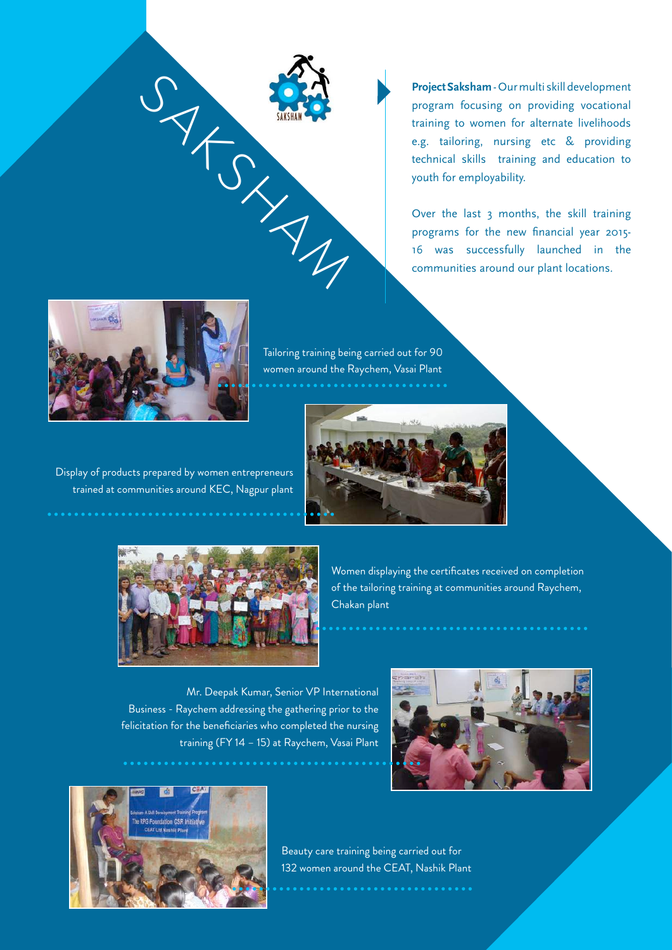

**Project Saksham** - Our multi skill development program focusing on providing vocational training to women for alternate livelihoods e.g. tailoring, nursing etc & providing technical skills training and education to youth for employability.

Over the last 3 months, the skill training programs for the new financial year 2015- 16 was successfully launched in the communities around our plant locations.



Tailoring training being carried out for 90 women around the Raychem, Vasai Plant



Display of products prepared by women entrepreneurs trained at communities around KEC, Nagpur plant



Women displaying the certificates received on completion of the tailoring training at communities around Raychem, Chakan plant

Mr. Deepak Kumar, Senior VP International Business - Raychem addressing the gathering prior to the felicitation for the beneficiaries who completed the nursing training (FY 14 – 15) at Raychem, Vasai Plant





Beauty care training being carried out for 132 women around the CEAT, Nashik Plant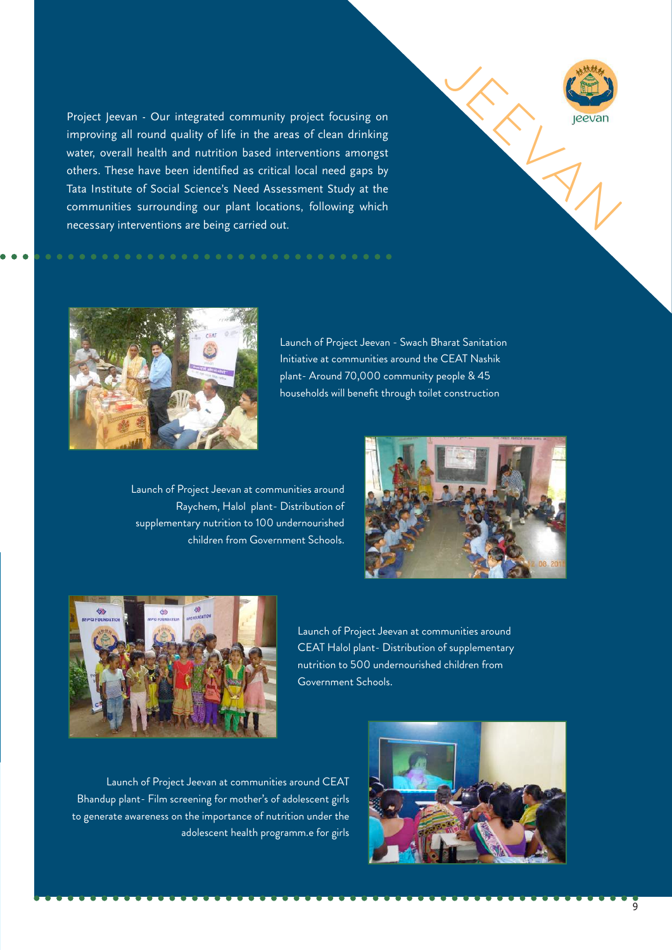Project Jeevan - Our integrated community project focusing on improving all round quality of life in the areas of clean drinking water, overall health and nutrition based interventions amongst others. These have been identified as critical local need gaps by Tata Institute of Social Science's Need Assessment Study at the communities surrounding our plant locations, following which necessary interventions are being carried out.





Launch of Project Jeevan - Swach Bharat Sanitation Initiative at communities around the CEAT Nashik plant- Around 70,000 community people & 45 households will benefit through toilet construction

Launch of Project Jeevan at communities around Raychem, Halol plant- Distribution of supplementary nutrition to 100 undernourished children from Government Schools.





Launch of Project Jeevan at communities around CEAT Halol plant- Distribution of supplementary nutrition to 500 undernourished children from Government Schools.

Launch of Project Jeevan at communities around CEAT Bhandup plant- Film screening for mother's of adolescent girls to generate awareness on the importance of nutrition under the adolescent health programm.e for girls

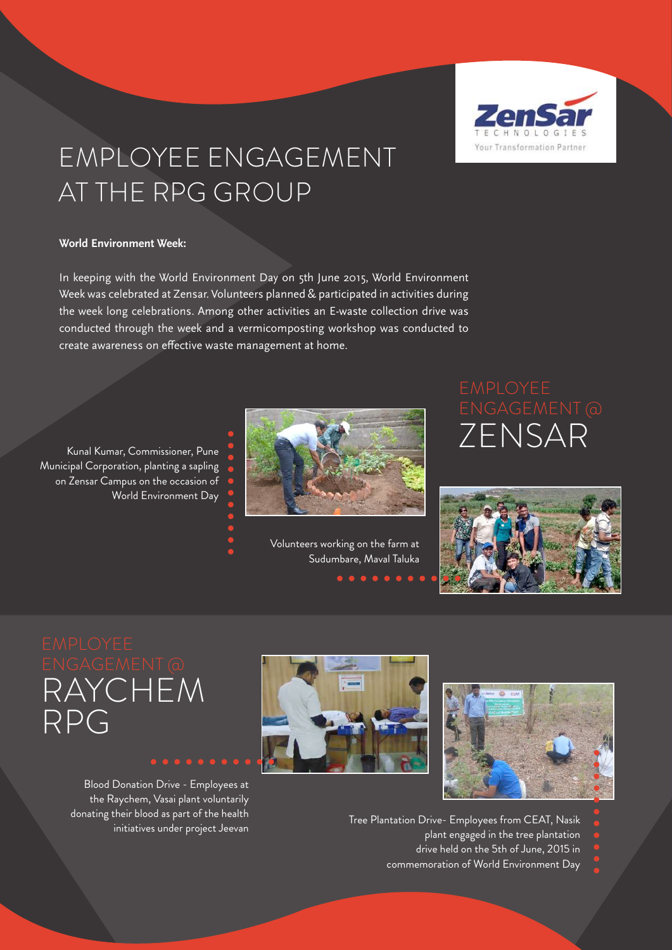

# EMPLOYEE ENGAGEMENT AT THE RPG GROUP

#### **World Environment Week:**

In keeping with the World Environment Day on 5th June 2015, World Environment Week was celebrated at Zensar. Volunteers planned & participated in activities during the week long celebrations. Among other activities an E-waste collection drive was conducted through the week and a vermicomposting workshop was conducted to create awareness on effective waste management at home.

Kunal Kumar, Commissioner, Pune Municipal Corporation, planting a sapling on Zensar Campus on the occasion of World Environment Day



Volunteers working on the farm at Sudumbare, Maval Taluka

# ZENSAR



RAYCHEM RPG

> Blood Donation Drive - Employees at the Raychem, Vasai plant voluntarily donating their blood as part of the health initiatives under project Jeevan





Tree Plantation Drive- Employees from CEAT, Nasik

- plant engaged in the tree plantation
- drive held on the 5th of June, 2015 in

commemoration of World Environment Day